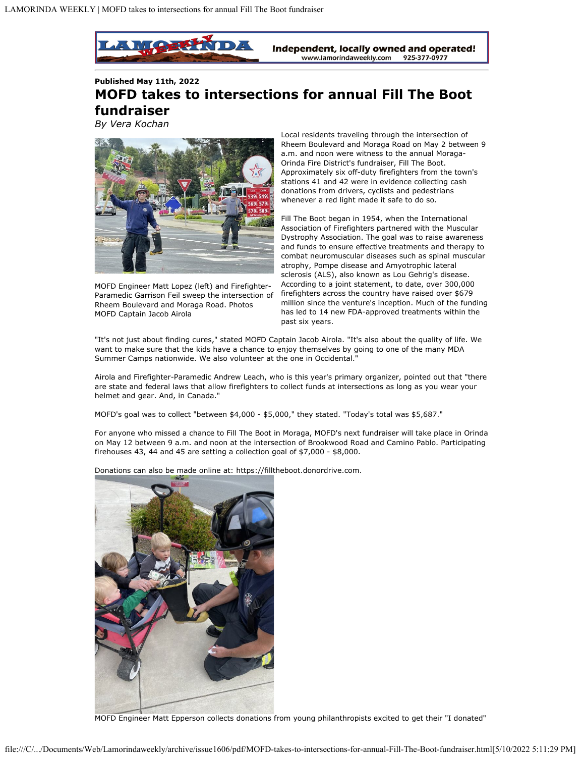

**Published May 11th, 2022 MOFD takes to intersections for annual Fill The Boot fundraiser** *By Vera Kochan*



MOFD Engineer Matt Lopez (left) and Firefighter-Paramedic Garrison Feil sweep the intersection of Rheem Boulevard and Moraga Road. Photos MOFD Captain Jacob Airola

Local residents traveling through the intersection of Rheem Boulevard and Moraga Road on May 2 between 9 a.m. and noon were witness to the annual Moraga-Orinda Fire District's fundraiser, Fill The Boot. Approximately six off-duty firefighters from the town's stations 41 and 42 were in evidence collecting cash donations from drivers, cyclists and pedestrians whenever a red light made it safe to do so.

Fill The Boot began in 1954, when the International Association of Firefighters partnered with the Muscular Dystrophy Association. The goal was to raise awareness and funds to ensure effective treatments and therapy to combat neuromuscular diseases such as spinal muscular atrophy, Pompe disease and Amyotrophic lateral sclerosis (ALS), also known as Lou Gehrig's disease. According to a joint statement, to date, over 300,000 firefighters across the country have raised over \$679 million since the venture's inception. Much of the funding has led to 14 new FDA-approved treatments within the past six years.

"It's not just about finding cures," stated MOFD Captain Jacob Airola. "It's also about the quality of life. We want to make sure that the kids have a chance to enjoy themselves by going to one of the many MDA Summer Camps nationwide. We also volunteer at the one in Occidental."

Airola and Firefighter-Paramedic Andrew Leach, who is this year's primary organizer, pointed out that "there are state and federal laws that allow firefighters to collect funds at intersections as long as you wear your helmet and gear. And, in Canada."

MOFD's goal was to collect "between \$4,000 - \$5,000," they stated. "Today's total was \$5,687."

For anyone who missed a chance to Fill The Boot in Moraga, MOFD's next fundraiser will take place in Orinda on May 12 between 9 a.m. and noon at the intersection of Brookwood Road and Camino Pablo. Participating firehouses 43, 44 and 45 are setting a collection goal of \$7,000 - \$8,000.

Donations can also be made online at: https://filltheboot.donordrive.com.



MOFD Engineer Matt Epperson collects donations from young philanthropists excited to get their "I donated"